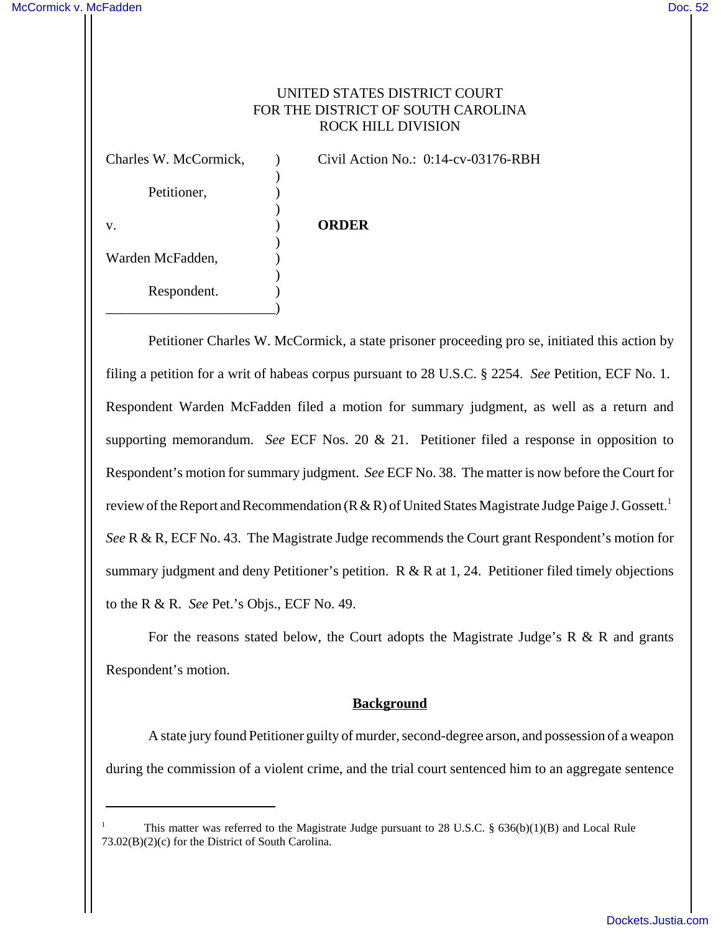# UNITED STATES DISTRICT COURT FOR THE DISTRICT OF SOUTH CAROLINA ROCK HILL DIVISION

| Charles W. McCormick, | Civil Action No.: $0:14$ -cv-03176-RBH |
|-----------------------|----------------------------------------|
| Petitioner,           |                                        |
| V.                    | <b>ORDER</b>                           |
| Warden McFadden,      |                                        |
| Respondent.           |                                        |
|                       |                                        |

Petitioner Charles W. McCormick, a state prisoner proceeding pro se, initiated this action by filing a petition for a writ of habeas corpus pursuant to 28 U.S.C. § 2254. *See* Petition, ECF No. 1. Respondent Warden McFadden filed a motion for summary judgment, as well as a return and supporting memorandum. *See* ECF Nos. 20 & 21. Petitioner filed a response in opposition to Respondent's motion for summary judgment. *See* ECF No. 38. The matter is now before the Court for review of the Report and Recommendation  $(R & R)$  of United States Magistrate Judge Paige J. Gossett.<sup>1</sup> *See* R & R, ECF No. 43. The Magistrate Judge recommends the Court grant Respondent's motion for summary judgment and deny Petitioner's petition. R & R at 1, 24. Petitioner filed timely objections to the R & R. *See* Pet.'s Objs., ECF No. 49.

For the reasons stated below, the Court adopts the Magistrate Judge's R  $\&$  R and grants Respondent's motion.

# **Background**

A state jury found Petitioner guilty of murder, second-degree arson, and possession of a weapon during the commission of a violent crime, and the trial court sentenced him to an aggregate sentence

This matter was referred to the Magistrate Judge pursuant to 28 U.S.C. §  $636(b)(1)(B)$  and Local Rule 73.02(B)(2)(c) for the District of South Carolina.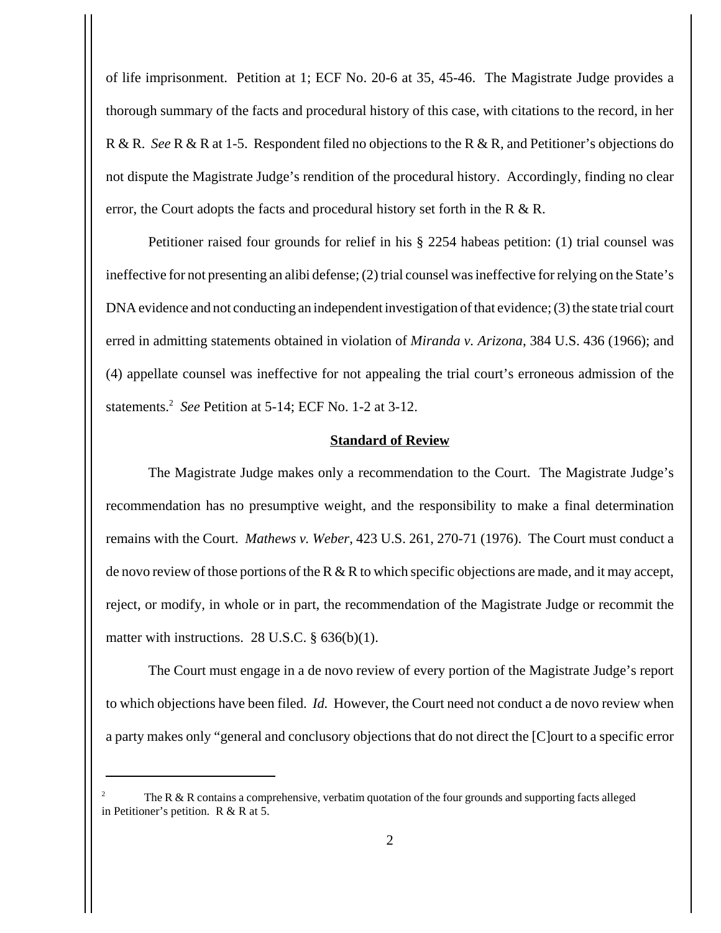of life imprisonment. Petition at 1; ECF No. 20-6 at 35, 45-46. The Magistrate Judge provides a thorough summary of the facts and procedural history of this case, with citations to the record, in her R & R. *See* R & R at 1-5. Respondent filed no objections to the R & R, and Petitioner's objections do not dispute the Magistrate Judge's rendition of the procedural history. Accordingly, finding no clear error, the Court adopts the facts and procedural history set forth in the R & R.

Petitioner raised four grounds for relief in his § 2254 habeas petition: (1) trial counsel was ineffective for not presenting an alibi defense; (2) trial counsel was ineffective for relying on the State's DNA evidence and not conducting an independent investigation of that evidence; (3) the state trial court erred in admitting statements obtained in violation of *Miranda v. Arizona*, 384 U.S. 436 (1966); and (4) appellate counsel was ineffective for not appealing the trial court's erroneous admission of the statements.<sup>2</sup> *See* Petition at 5-14; ECF No. 1-2 at 3-12.

#### **Standard of Review**

The Magistrate Judge makes only a recommendation to the Court. The Magistrate Judge's recommendation has no presumptive weight, and the responsibility to make a final determination remains with the Court. *Mathews v. Weber*, 423 U.S. 261, 270-71 (1976). The Court must conduct a de novo review of those portions of the R & R to which specific objections are made, and it may accept, reject, or modify, in whole or in part, the recommendation of the Magistrate Judge or recommit the matter with instructions. 28 U.S.C. § 636(b)(1).

The Court must engage in a de novo review of every portion of the Magistrate Judge's report to which objections have been filed. *Id.* However, the Court need not conduct a de novo review when a party makes only "general and conclusory objections that do not direct the [C]ourt to a specific error

The R  $\&$  R contains a comprehensive, verbatim quotation of the four grounds and supporting facts alleged in Petitioner's petition. R & R at 5.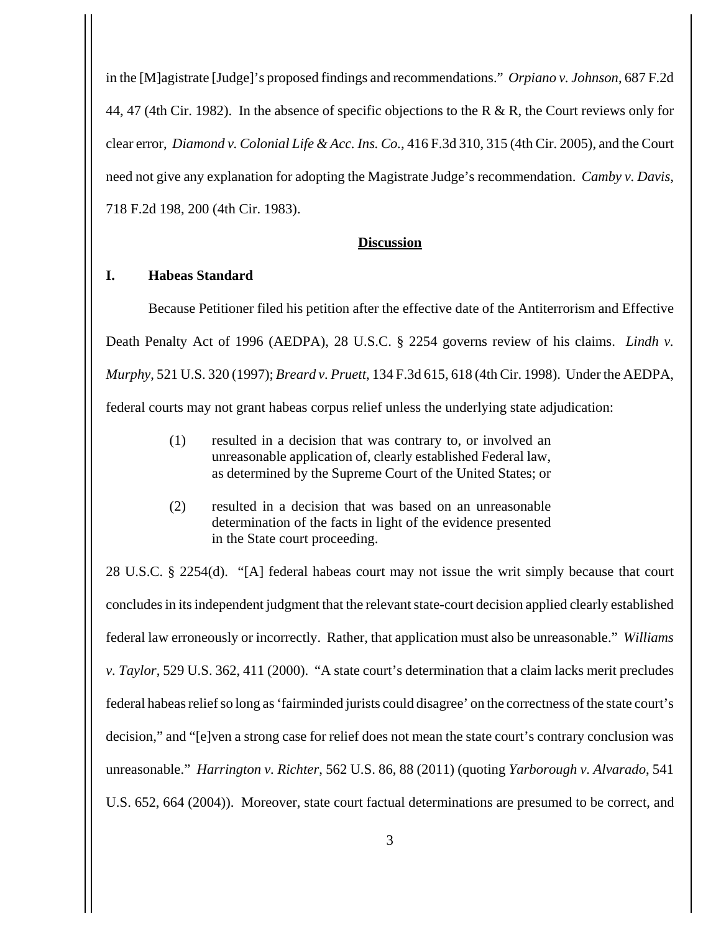in the [M]agistrate [Judge]'s proposed findings and recommendations." *Orpiano v. Johnson*, 687 F.2d 44, 47 (4th Cir. 1982). In the absence of specific objections to the R & R, the Court reviews only for clear error, *Diamond v. Colonial Life & Acc. Ins. Co.*, 416 F.3d 310, 315 (4th Cir. 2005), and the Court need not give any explanation for adopting the Magistrate Judge's recommendation. *Camby v. Davis*, 718 F.2d 198, 200 (4th Cir. 1983).

#### **Discussion**

## **I. Habeas Standard**

Because Petitioner filed his petition after the effective date of the Antiterrorism and Effective Death Penalty Act of 1996 (AEDPA), 28 U.S.C. § 2254 governs review of his claims. *Lindh v. Murphy*, 521 U.S. 320 (1997); *Breard v. Pruett*, 134 F.3d 615, 618 (4th Cir. 1998). Under the AEDPA, federal courts may not grant habeas corpus relief unless the underlying state adjudication:

- (1) resulted in a decision that was contrary to, or involved an unreasonable application of, clearly established Federal law, as determined by the Supreme Court of the United States; or
- (2) resulted in a decision that was based on an unreasonable determination of the facts in light of the evidence presented in the State court proceeding.

28 U.S.C. § 2254(d). "[A] federal habeas court may not issue the writ simply because that court concludes in its independent judgment that the relevant state-court decision applied clearly established federal law erroneously or incorrectly. Rather, that application must also be unreasonable." *Williams v. Taylor*, 529 U.S. 362, 411 (2000). "A state court's determination that a claim lacks merit precludes federal habeas relief so long as 'fairminded jurists could disagree' on the correctness of the state court's decision," and "[e]ven a strong case for relief does not mean the state court's contrary conclusion was unreasonable." *Harrington v. Richter*, 562 U.S. 86, 88 (2011) (quoting *Yarborough v. Alvarado*, 541 U.S. 652, 664 (2004)). Moreover, state court factual determinations are presumed to be correct, and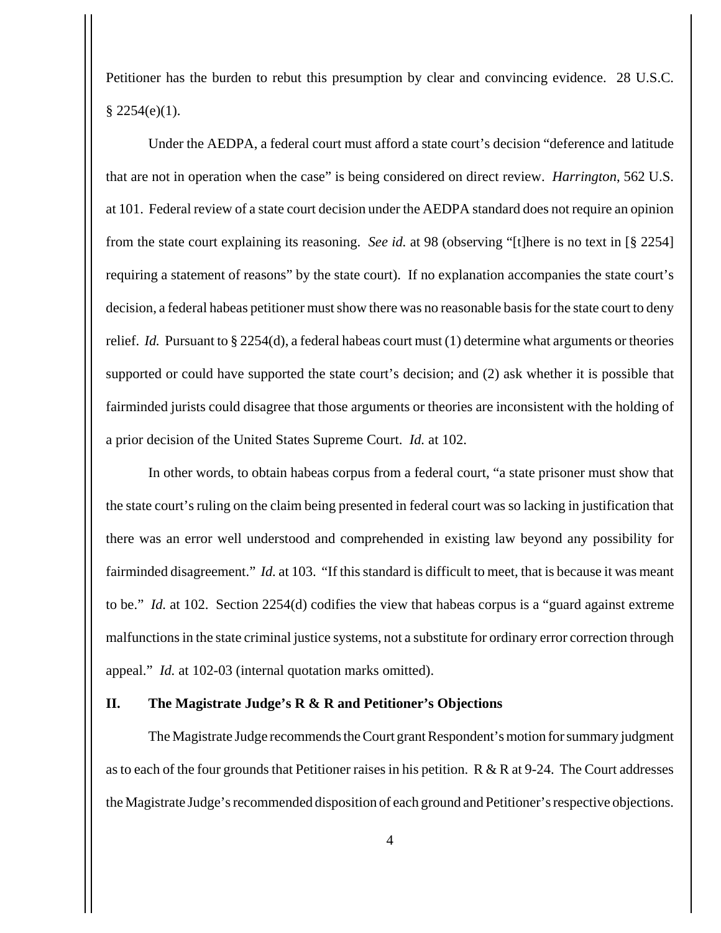Petitioner has the burden to rebut this presumption by clear and convincing evidence. 28 U.S.C.  $§ 2254(e)(1).$ 

Under the AEDPA, a federal court must afford a state court's decision "deference and latitude that are not in operation when the case" is being considered on direct review. *Harrington*, 562 U.S. at 101. Federal review of a state court decision under the AEDPA standard does not require an opinion from the state court explaining its reasoning. *See id.* at 98 (observing "[t]here is no text in [§ 2254] requiring a statement of reasons" by the state court). If no explanation accompanies the state court's decision, a federal habeas petitioner must show there was no reasonable basis for the state court to deny relief. *Id.* Pursuant to § 2254(d), a federal habeas court must (1) determine what arguments or theories supported or could have supported the state court's decision; and (2) ask whether it is possible that fairminded jurists could disagree that those arguments or theories are inconsistent with the holding of a prior decision of the United States Supreme Court. *Id.* at 102.

In other words, to obtain habeas corpus from a federal court, "a state prisoner must show that the state court's ruling on the claim being presented in federal court was so lacking in justification that there was an error well understood and comprehended in existing law beyond any possibility for fairminded disagreement." *Id.* at 103. "If this standard is difficult to meet, that is because it was meant to be." *Id.* at 102. Section 2254(d) codifies the view that habeas corpus is a "guard against extreme malfunctions in the state criminal justice systems, not a substitute for ordinary error correction through appeal." *Id.* at 102-03 (internal quotation marks omitted).

### **II. The Magistrate Judge's R & R and Petitioner's Objections**

The Magistrate Judge recommends the Court grant Respondent's motion for summary judgment as to each of the four grounds that Petitioner raises in his petition. R & R at  $9-24$ . The Court addresses the Magistrate Judge's recommended disposition of each ground and Petitioner's respective objections.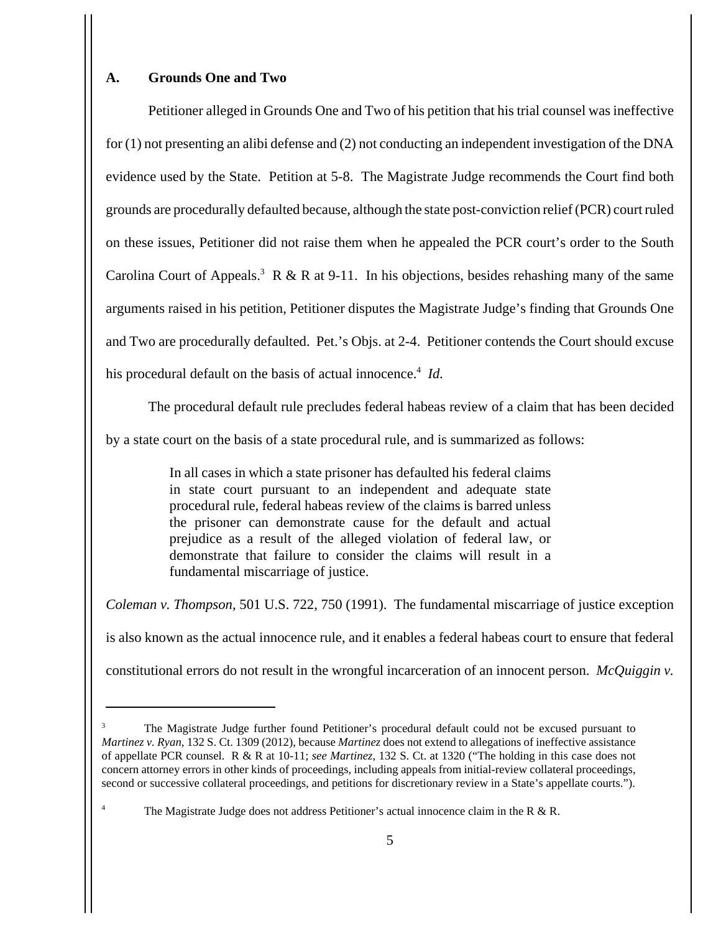# **A. Grounds One and Two**

Petitioner alleged in Grounds One and Two of his petition that his trial counsel was ineffective for (1) not presenting an alibi defense and (2) not conducting an independent investigation of the DNA evidence used by the State. Petition at 5-8. The Magistrate Judge recommends the Court find both grounds are procedurally defaulted because, although the state post-conviction relief (PCR) court ruled on these issues, Petitioner did not raise them when he appealed the PCR court's order to the South Carolina Court of Appeals.<sup>3</sup> R & R at 9-11. In his objections, besides rehashing many of the same arguments raised in his petition, Petitioner disputes the Magistrate Judge's finding that Grounds One and Two are procedurally defaulted. Pet.'s Objs. at 2-4. Petitioner contends the Court should excuse his procedural default on the basis of actual innocence.<sup>4</sup> Id.

The procedural default rule precludes federal habeas review of a claim that has been decided

by a state court on the basis of a state procedural rule, and is summarized as follows:

In all cases in which a state prisoner has defaulted his federal claims in state court pursuant to an independent and adequate state procedural rule, federal habeas review of the claims is barred unless the prisoner can demonstrate cause for the default and actual prejudice as a result of the alleged violation of federal law, or demonstrate that failure to consider the claims will result in a fundamental miscarriage of justice.

*Coleman v. Thompson*, 501 U.S. 722, 750 (1991). The fundamental miscarriage of justice exception is also known as the actual innocence rule, and it enables a federal habeas court to ensure that federal constitutional errors do not result in the wrongful incarceration of an innocent person. *McQuiggin v.*

<sup>3</sup> The Magistrate Judge further found Petitioner's procedural default could not be excused pursuant to *Martinez v. Ryan*, 132 S. Ct. 1309 (2012), because *Martinez* does not extend to allegations of ineffective assistance of appellate PCR counsel. R & R at 10-11; *see Martinez*, 132 S. Ct. at 1320 ("The holding in this case does not concern attorney errors in other kinds of proceedings, including appeals from initial-review collateral proceedings, second or successive collateral proceedings, and petitions for discretionary review in a State's appellate courts.").

The Magistrate Judge does not address Petitioner's actual innocence claim in the R  $\&$  R.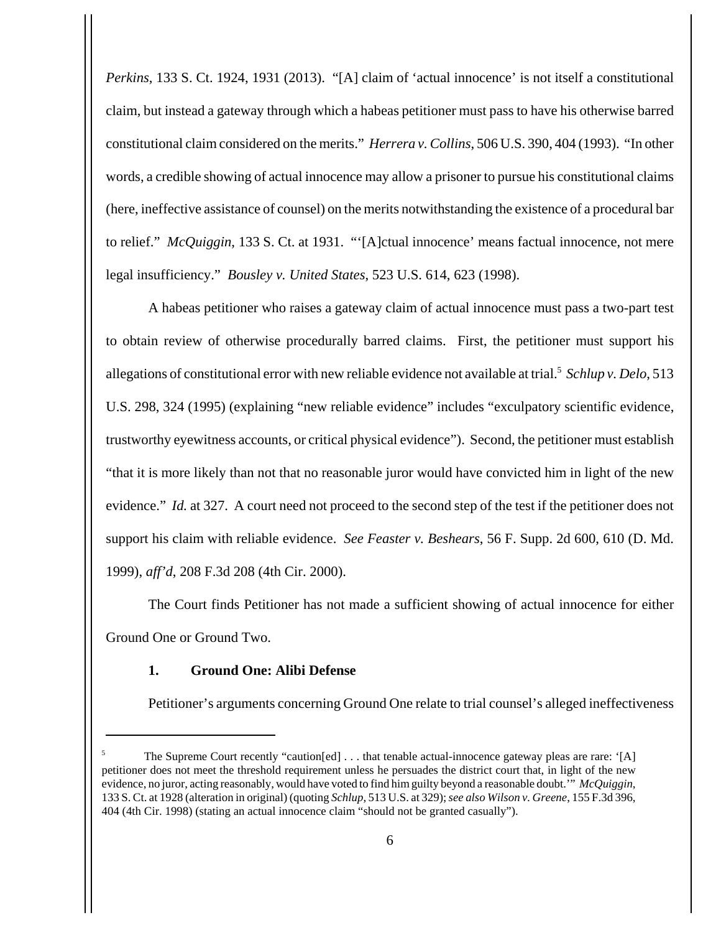*Perkins*, 133 S. Ct. 1924, 1931 (2013). "[A] claim of 'actual innocence' is not itself a constitutional claim, but instead a gateway through which a habeas petitioner must pass to have his otherwise barred constitutional claim considered on the merits." *Herrera v. Collins*, 506 U.S. 390, 404 (1993). "In other words, a credible showing of actual innocence may allow a prisoner to pursue his constitutional claims (here, ineffective assistance of counsel) on the merits notwithstanding the existence of a procedural bar to relief." *McQuiggin*, 133 S. Ct. at 1931. "'[A]ctual innocence' means factual innocence, not mere legal insufficiency." *Bousley v. United States*, 523 U.S. 614, 623 (1998).

A habeas petitioner who raises a gateway claim of actual innocence must pass a two-part test to obtain review of otherwise procedurally barred claims. First, the petitioner must support his allegations of constitutional error with new reliable evidence not available at trial.<sup>5</sup> Schlup v. Delo, 513 U.S. 298, 324 (1995) (explaining "new reliable evidence" includes "exculpatory scientific evidence, trustworthy eyewitness accounts, or critical physical evidence"). Second, the petitioner must establish "that it is more likely than not that no reasonable juror would have convicted him in light of the new evidence." *Id.* at 327. A court need not proceed to the second step of the test if the petitioner does not support his claim with reliable evidence. *See Feaster v. Beshears*, 56 F. Supp. 2d 600, 610 (D. Md. 1999), *aff'd*, 208 F.3d 208 (4th Cir. 2000).

The Court finds Petitioner has not made a sufficient showing of actual innocence for either Ground One or Ground Two.

# **1. Ground One: Alibi Defense**

Petitioner's arguments concerning Ground One relate to trial counsel's alleged ineffectiveness

The Supreme Court recently "caution[ed] . . . that tenable actual-innocence gateway pleas are rare: '[A] petitioner does not meet the threshold requirement unless he persuades the district court that, in light of the new evidence, no juror, acting reasonably, would have voted to find him guilty beyond a reasonable doubt.'" *McQuiggin*, 133 S. Ct. at 1928 (alteration in original) (quoting *Schlup*, 513 U.S. at 329); *see also Wilson v. Greene*, 155 F.3d 396, 404 (4th Cir. 1998) (stating an actual innocence claim "should not be granted casually").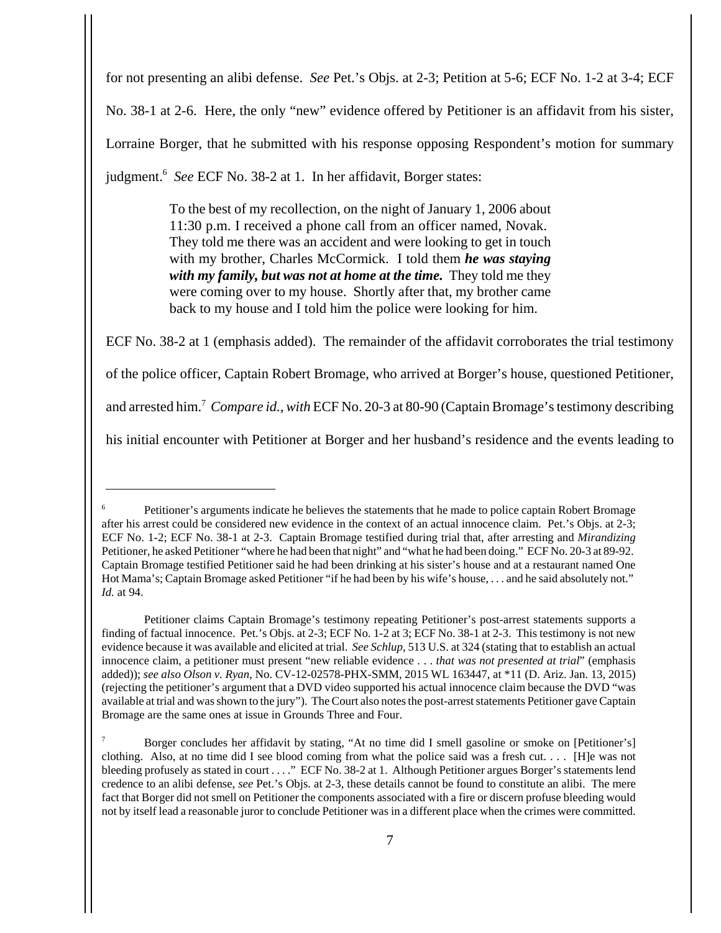for not presenting an alibi defense. *See* Pet.'s Objs. at 2-3; Petition at 5-6; ECF No. 1-2 at 3-4; ECF No. 38-1 at 2-6. Here, the only "new" evidence offered by Petitioner is an affidavit from his sister, Lorraine Borger, that he submitted with his response opposing Respondent's motion for summary judgment.<sup>6</sup> See ECF No. 38-2 at 1. In her affidavit, Borger states:

> To the best of my recollection, on the night of January 1, 2006 about 11:30 p.m. I received a phone call from an officer named, Novak. They told me there was an accident and were looking to get in touch with my brother, Charles McCormick. I told them *he was staying* with my family, but was not at home at the time. They told me they were coming over to my house. Shortly after that, my brother came back to my house and I told him the police were looking for him.

ECF No. 38-2 at 1 (emphasis added). The remainder of the affidavit corroborates the trial testimony of the police officer, Captain Robert Bromage, who arrived at Borger's house, questioned Petitioner, and arrested him.<sup>7</sup> Compare id., with ECF No. 20-3 at 80-90 (Captain Bromage's testimony describing his initial encounter with Petitioner at Borger and her husband's residence and the events leading to

Petitioner's arguments indicate he believes the statements that he made to police captain Robert Bromage after his arrest could be considered new evidence in the context of an actual innocence claim. Pet.'s Objs. at 2-3; ECF No. 1-2; ECF No. 38-1 at 2-3. Captain Bromage testified during trial that, after arresting and *Mirandizing* Petitioner, he asked Petitioner "where he had been that night" and "what he had been doing." ECF No. 20-3 at 89-92. Captain Bromage testified Petitioner said he had been drinking at his sister's house and at a restaurant named One Hot Mama's; Captain Bromage asked Petitioner "if he had been by his wife's house, . . . and he said absolutely not." *Id.* at 94.

Petitioner claims Captain Bromage's testimony repeating Petitioner's post-arrest statements supports a finding of factual innocence. Pet.'s Objs. at 2-3; ECF No. 1-2 at 3; ECF No. 38-1 at 2-3. This testimony is not new evidence because it was available and elicited at trial. *See Schlup*, 513 U.S. at 324 (stating that to establish an actual innocence claim, a petitioner must present "new reliable evidence . . . *that was not presented at trial*" (emphasis added)); *see also Olson v. Ryan*, No. CV-12-02578-PHX-SMM, 2015 WL 163447, at \*11 (D. Ariz. Jan. 13, 2015) (rejecting the petitioner's argument that a DVD video supported his actual innocence claim because the DVD "was available at trial and was shown to the jury"). The Court also notes the post-arrest statements Petitioner gave Captain Bromage are the same ones at issue in Grounds Three and Four.

<sup>7</sup> Borger concludes her affidavit by stating, "At no time did I smell gasoline or smoke on [Petitioner's] clothing. Also, at no time did I see blood coming from what the police said was a fresh cut. . . . [H]e was not bleeding profusely as stated in court . . . ." ECF No. 38-2 at 1. Although Petitioner argues Borger's statements lend credence to an alibi defense, *see* Pet.'s Objs. at 2-3, these details cannot be found to constitute an alibi. The mere fact that Borger did not smell on Petitioner the components associated with a fire or discern profuse bleeding would not by itself lead a reasonable juror to conclude Petitioner was in a different place when the crimes were committed.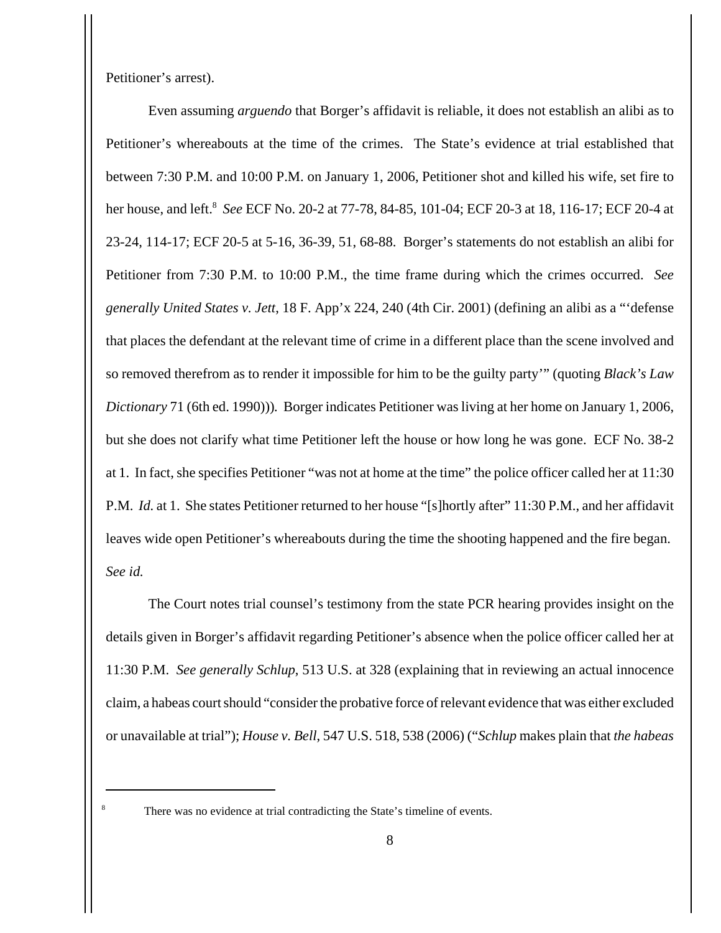Petitioner's arrest).

Even assuming *arguendo* that Borger's affidavit is reliable, it does not establish an alibi as to Petitioner's whereabouts at the time of the crimes. The State's evidence at trial established that between 7:30 P.M. and 10:00 P.M. on January 1, 2006, Petitioner shot and killed his wife, set fire to her house, and left.<sup>8</sup> *See* ECF No. 20-2 at 77-78, 84-85, 101-04; ECF 20-3 at 18, 116-17; ECF 20-4 at 23-24, 114-17; ECF 20-5 at 5-16, 36-39, 51, 68-88. Borger's statements do not establish an alibi for Petitioner from 7:30 P.M. to 10:00 P.M., the time frame during which the crimes occurred. *See generally United States v. Jett*, 18 F. App'x 224, 240 (4th Cir. 2001) (defining an alibi as a "'defense that places the defendant at the relevant time of crime in a different place than the scene involved and so removed therefrom as to render it impossible for him to be the guilty party'" (quoting *Black's Law Dictionary* 71 (6th ed. 1990)))*.* Borger indicates Petitioner was living at her home on January 1, 2006, but she does not clarify what time Petitioner left the house or how long he was gone. ECF No. 38-2 at 1. In fact, she specifies Petitioner "was not at home at the time" the police officer called her at 11:30 P.M. *Id.* at 1. She states Petitioner returned to her house "[s]hortly after" 11:30 P.M., and her affidavit leaves wide open Petitioner's whereabouts during the time the shooting happened and the fire began. *See id.*

The Court notes trial counsel's testimony from the state PCR hearing provides insight on the details given in Borger's affidavit regarding Petitioner's absence when the police officer called her at 11:30 P.M. *See generally Schlup*, 513 U.S. at 328 (explaining that in reviewing an actual innocence claim, a habeas court should "consider the probative force of relevant evidence that was either excluded or unavailable at trial"); *House v. Bell*, 547 U.S. 518, 538 (2006) ("*Schlup* makes plain that *the habeas*

<sup>&</sup>lt;sup>8</sup> There was no evidence at trial contradicting the State's timeline of events.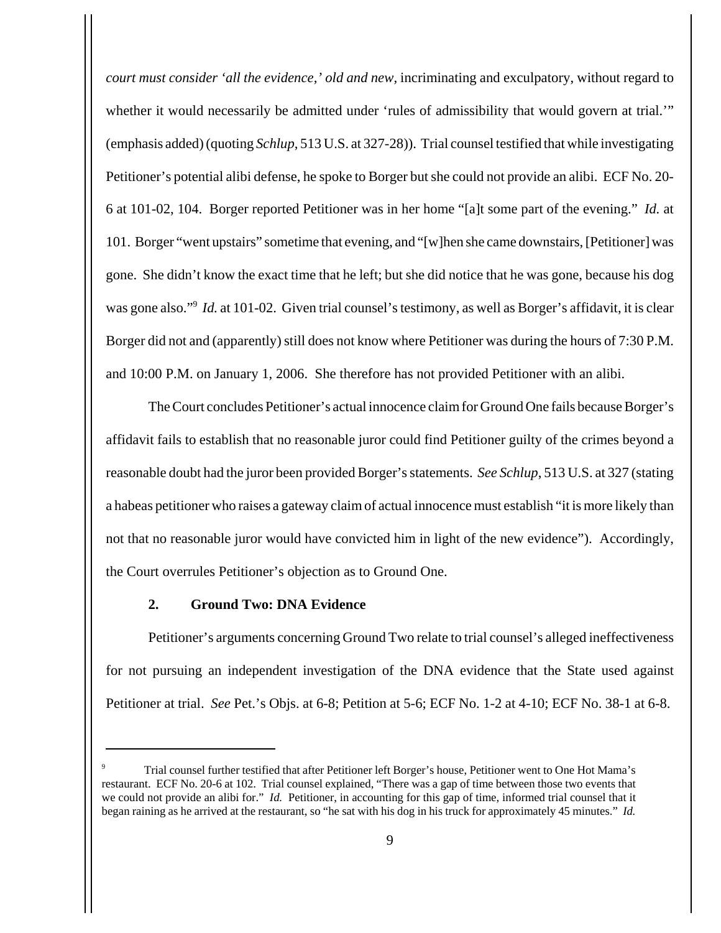*court must consider 'all the evidence,' old and new,* incriminating and exculpatory, without regard to whether it would necessarily be admitted under 'rules of admissibility that would govern at trial.'" (emphasis added) (quoting *Schlup*, 513 U.S. at 327-28)). Trial counsel testified that while investigating Petitioner's potential alibi defense, he spoke to Borger but she could not provide an alibi. ECF No. 20- 6 at 101-02, 104. Borger reported Petitioner was in her home "[a]t some part of the evening." *Id.* at 101. Borger "went upstairs" sometime that evening, and "[w]hen she came downstairs, [Petitioner] was gone. She didn't know the exact time that he left; but she did notice that he was gone, because his dog was gone also."<sup>9</sup> *Id.* at 101-02. Given trial counsel's testimony, as well as Borger's affidavit, it is clear Borger did not and (apparently) still does not know where Petitioner was during the hours of 7:30 P.M. and 10:00 P.M. on January 1, 2006. She therefore has not provided Petitioner with an alibi.

The Court concludes Petitioner's actual innocence claim for Ground One fails because Borger's affidavit fails to establish that no reasonable juror could find Petitioner guilty of the crimes beyond a reasonable doubt had the juror been provided Borger's statements. *See Schlup*, 513 U.S. at 327 (stating a habeas petitioner who raises a gateway claim of actual innocence must establish "it is more likely than not that no reasonable juror would have convicted him in light of the new evidence"). Accordingly, the Court overrules Petitioner's objection as to Ground One.

## **2. Ground Two: DNA Evidence**

Petitioner's arguments concerning Ground Two relate to trial counsel's alleged ineffectiveness for not pursuing an independent investigation of the DNA evidence that the State used against Petitioner at trial. *See* Pet.'s Objs. at 6-8; Petition at 5-6; ECF No. 1-2 at 4-10; ECF No. 38-1 at 6-8.

<sup>9</sup> Trial counsel further testified that after Petitioner left Borger's house, Petitioner went to One Hot Mama's restaurant. ECF No. 20-6 at 102. Trial counsel explained, "There was a gap of time between those two events that we could not provide an alibi for." *Id.* Petitioner, in accounting for this gap of time, informed trial counsel that it began raining as he arrived at the restaurant, so "he sat with his dog in his truck for approximately 45 minutes." *Id.*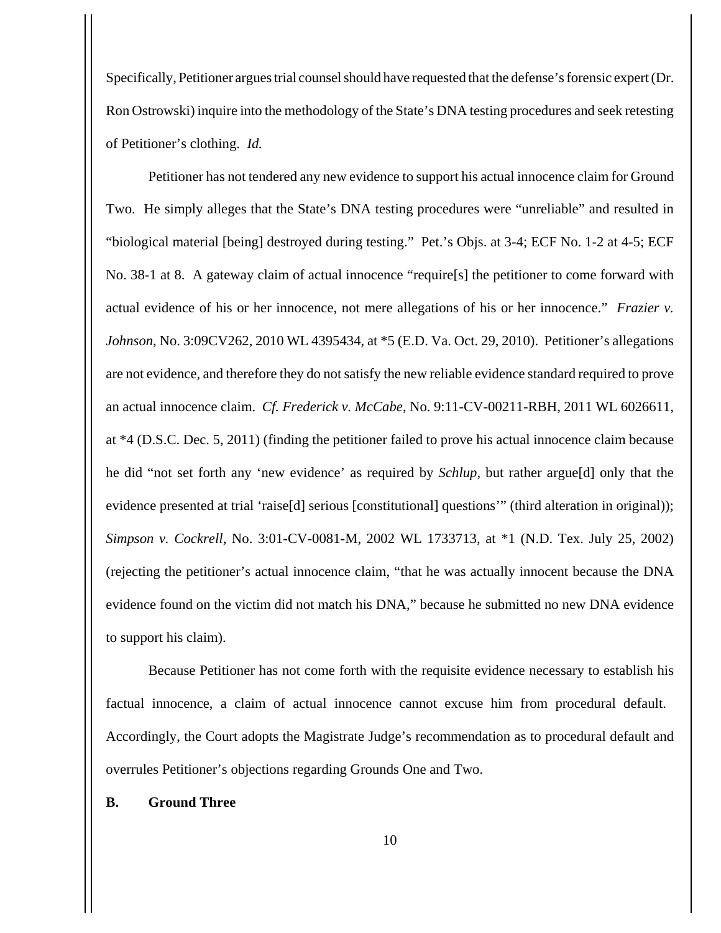Specifically, Petitioner argues trial counsel should have requested that the defense's forensic expert (Dr. Ron Ostrowski) inquire into the methodology of the State's DNA testing procedures and seek retesting of Petitioner's clothing. *Id.*

Petitioner has not tendered any new evidence to support his actual innocence claim for Ground Two. He simply alleges that the State's DNA testing procedures were "unreliable" and resulted in "biological material [being] destroyed during testing." Pet.'s Objs. at 3-4; ECF No. 1-2 at 4-5; ECF No. 38-1 at 8. A gateway claim of actual innocence "require[s] the petitioner to come forward with actual evidence of his or her innocence, not mere allegations of his or her innocence." *Frazier v. Johnson*, No. 3:09CV262, 2010 WL 4395434, at \*5 (E.D. Va. Oct. 29, 2010). Petitioner's allegations are not evidence, and therefore they do not satisfy the new reliable evidence standard required to prove an actual innocence claim. *Cf. Frederick v. McCabe*, No. 9:11-CV-00211-RBH, 2011 WL 6026611, at \*4 (D.S.C. Dec. 5, 2011) (finding the petitioner failed to prove his actual innocence claim because he did "not set forth any 'new evidence' as required by *Schlup*, but rather argue[d] only that the evidence presented at trial 'raise[d] serious [constitutional] questions'" (third alteration in original)); *Simpson v. Cockrell*, No. 3:01-CV-0081-M, 2002 WL 1733713, at \*1 (N.D. Tex. July 25, 2002) (rejecting the petitioner's actual innocence claim, "that he was actually innocent because the DNA evidence found on the victim did not match his DNA," because he submitted no new DNA evidence to support his claim).

Because Petitioner has not come forth with the requisite evidence necessary to establish his factual innocence, a claim of actual innocence cannot excuse him from procedural default. Accordingly, the Court adopts the Magistrate Judge's recommendation as to procedural default and overrules Petitioner's objections regarding Grounds One and Two.

## **B. Ground Three**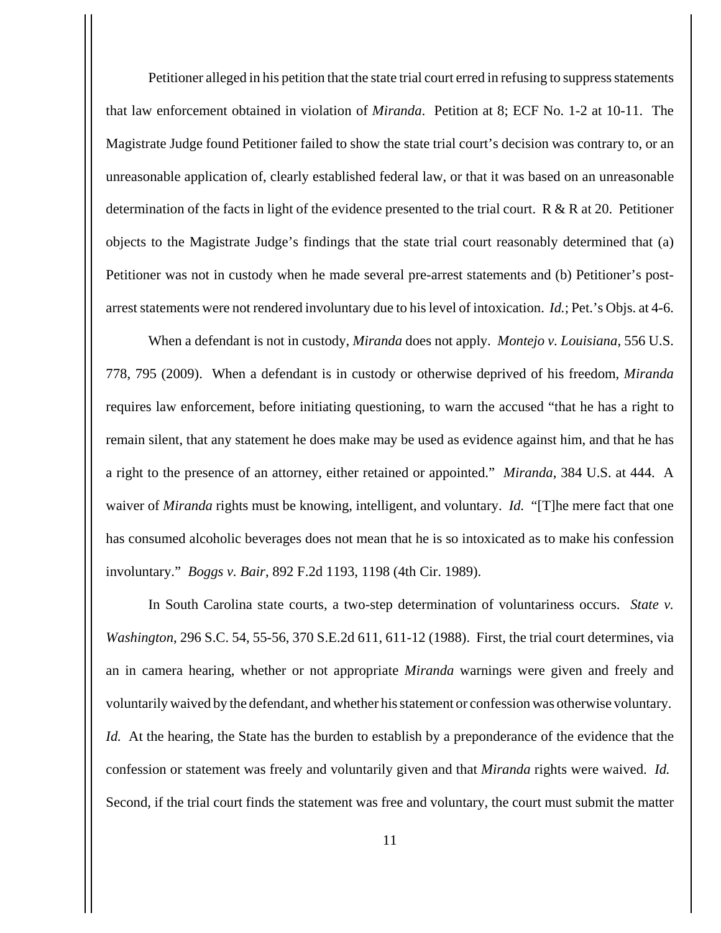Petitioner alleged in his petition that the state trial court erred in refusing to suppress statements that law enforcement obtained in violation of *Miranda*. Petition at 8; ECF No. 1-2 at 10-11. The Magistrate Judge found Petitioner failed to show the state trial court's decision was contrary to, or an unreasonable application of, clearly established federal law, or that it was based on an unreasonable determination of the facts in light of the evidence presented to the trial court. R & R at 20. Petitioner objects to the Magistrate Judge's findings that the state trial court reasonably determined that (a) Petitioner was not in custody when he made several pre-arrest statements and (b) Petitioner's postarrest statements were not rendered involuntary due to his level of intoxication. *Id.*; Pet.'s Objs. at 4-6.

When a defendant is not in custody, *Miranda* does not apply. *Montejo v. Louisiana*, 556 U.S. 778, 795 (2009). When a defendant is in custody or otherwise deprived of his freedom, *Miranda* requires law enforcement, before initiating questioning, to warn the accused "that he has a right to remain silent, that any statement he does make may be used as evidence against him, and that he has a right to the presence of an attorney, either retained or appointed." *Miranda*, 384 U.S. at 444. A waiver of *Miranda* rights must be knowing, intelligent, and voluntary. *Id.* "[T]he mere fact that one has consumed alcoholic beverages does not mean that he is so intoxicated as to make his confession involuntary." *Boggs v. Bair*, 892 F.2d 1193, 1198 (4th Cir. 1989).

In South Carolina state courts, a two-step determination of voluntariness occurs. *State v. Washington*, 296 S.C. 54, 55-56, 370 S.E.2d 611, 611-12 (1988). First, the trial court determines, via an in camera hearing, whether or not appropriate *Miranda* warnings were given and freely and voluntarily waived by the defendant, and whether his statement or confession was otherwise voluntary. *Id.* At the hearing, the State has the burden to establish by a preponderance of the evidence that the confession or statement was freely and voluntarily given and that *Miranda* rights were waived. *Id.*  Second, if the trial court finds the statement was free and voluntary, the court must submit the matter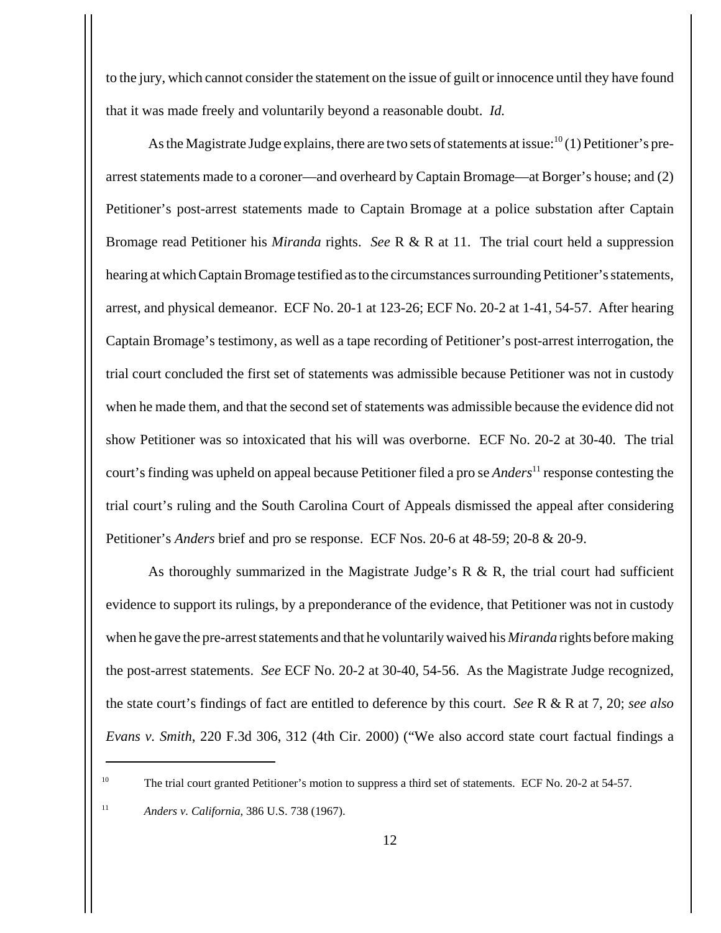to the jury, which cannot consider the statement on the issue of guilt or innocence until they have found that it was made freely and voluntarily beyond a reasonable doubt. *Id.*

As the Magistrate Judge explains, there are two sets of statements at issue: $10(1)$  Petitioner's prearrest statements made to a coroner—and overheard by Captain Bromage—at Borger's house; and (2) Petitioner's post-arrest statements made to Captain Bromage at a police substation after Captain Bromage read Petitioner his *Miranda* rights. *See* R & R at 11. The trial court held a suppression hearing at which Captain Bromage testified as to the circumstances surrounding Petitioner's statements, arrest, and physical demeanor. ECF No. 20-1 at 123-26; ECF No. 20-2 at 1-41, 54-57. After hearing Captain Bromage's testimony, as well as a tape recording of Petitioner's post-arrest interrogation, the trial court concluded the first set of statements was admissible because Petitioner was not in custody when he made them, and that the second set of statements was admissible because the evidence did not show Petitioner was so intoxicated that his will was overborne. ECF No. 20-2 at 30-40. The trial court's finding was upheld on appeal because Petitioner filed a pro se *Anders*<sup>11</sup> response contesting the trial court's ruling and the South Carolina Court of Appeals dismissed the appeal after considering Petitioner's *Anders* brief and pro se response. ECF Nos. 20-6 at 48-59; 20-8 & 20-9.

As thoroughly summarized in the Magistrate Judge's  $R \& R$ , the trial court had sufficient evidence to support its rulings, by a preponderance of the evidence, that Petitioner was not in custody when he gave the pre-arrest statements and that he voluntarily waived his *Miranda* rights before making the post-arrest statements. *See* ECF No. 20-2 at 30-40, 54-56. As the Magistrate Judge recognized, the state court's findings of fact are entitled to deference by this court. *See* R & R at 7, 20; *see also Evans v. Smith*, 220 F.3d 306, 312 (4th Cir. 2000) ("We also accord state court factual findings a

<sup>11</sup> *Anders v. California*, 386 U.S. 738 (1967).

<sup>&</sup>lt;sup>10</sup> The trial court granted Petitioner's motion to suppress a third set of statements. ECF No. 20-2 at 54-57.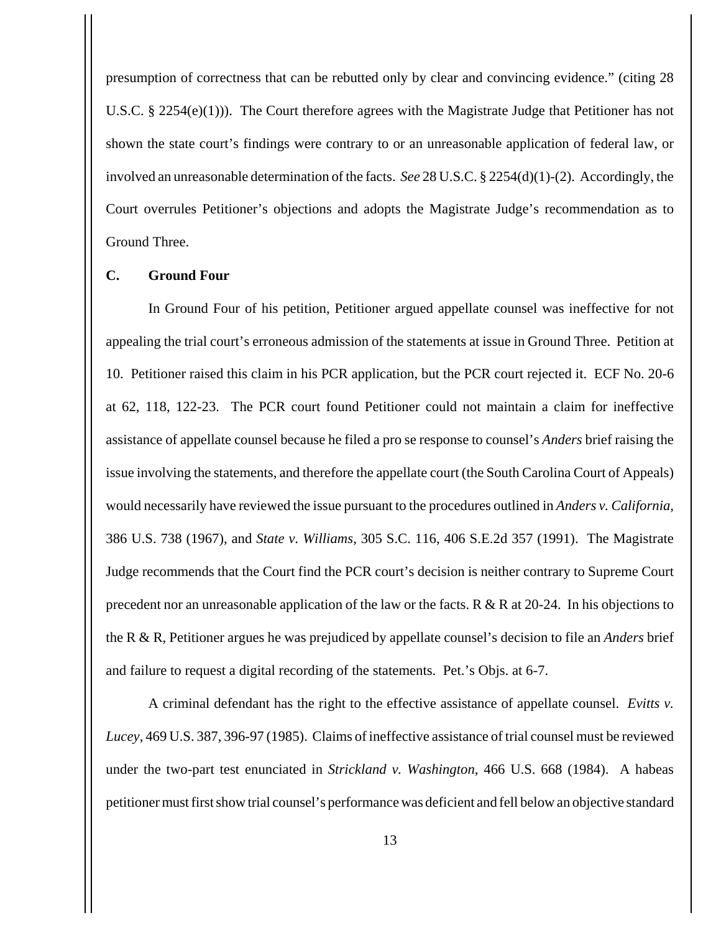presumption of correctness that can be rebutted only by clear and convincing evidence." (citing 28 U.S.C. § 2254(e)(1))). The Court therefore agrees with the Magistrate Judge that Petitioner has not shown the state court's findings were contrary to or an unreasonable application of federal law, or involved an unreasonable determination of the facts. *See* 28 U.S.C. § 2254(d)(1)-(2). Accordingly, the Court overrules Petitioner's objections and adopts the Magistrate Judge's recommendation as to Ground Three.

### **C. Ground Four**

In Ground Four of his petition, Petitioner argued appellate counsel was ineffective for not appealing the trial court's erroneous admission of the statements at issue in Ground Three. Petition at 10. Petitioner raised this claim in his PCR application, but the PCR court rejected it. ECF No. 20-6 at 62, 118, 122-23. The PCR court found Petitioner could not maintain a claim for ineffective assistance of appellate counsel because he filed a pro se response to counsel's *Anders* brief raising the issue involving the statements, and therefore the appellate court (the South Carolina Court of Appeals) would necessarily have reviewed the issue pursuant to the procedures outlined in *Anders v. California*, 386 U.S. 738 (1967), and *State v. Williams*, 305 S.C. 116, 406 S.E.2d 357 (1991). The Magistrate Judge recommends that the Court find the PCR court's decision is neither contrary to Supreme Court precedent nor an unreasonable application of the law or the facts. R & R at 20-24. In his objections to the R & R, Petitioner argues he was prejudiced by appellate counsel's decision to file an *Anders* brief and failure to request a digital recording of the statements. Pet.'s Objs. at 6-7.

A criminal defendant has the right to the effective assistance of appellate counsel. *Evitts v. Lucey*, 469 U.S. 387, 396-97 (1985). Claims of ineffective assistance of trial counsel must be reviewed under the two-part test enunciated in *Strickland v. Washington*, 466 U.S. 668 (1984). A habeas petitioner must first show trial counsel's performance was deficient and fell below an objective standard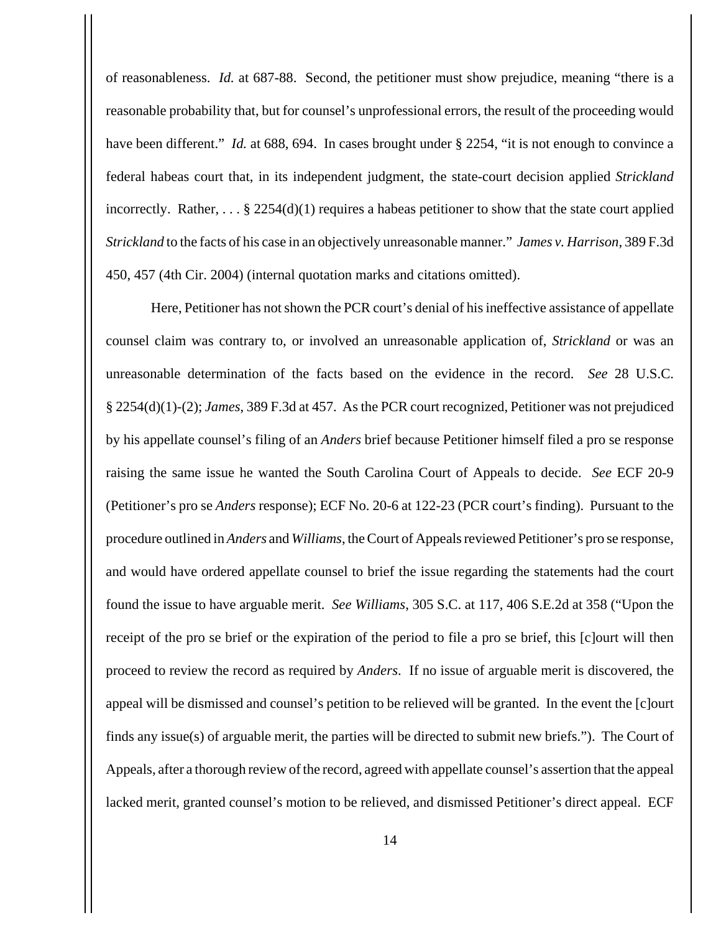of reasonableness. *Id.* at 687-88. Second, the petitioner must show prejudice, meaning "there is a reasonable probability that, but for counsel's unprofessional errors, the result of the proceeding would have been different." *Id.* at 688, 694. In cases brought under § 2254, "it is not enough to convince a federal habeas court that, in its independent judgment, the state-court decision applied *Strickland* incorrectly. Rather,  $\dots$  § 2254(d)(1) requires a habeas petitioner to show that the state court applied *Strickland* to the facts of his case in an objectively unreasonable manner." *James v. Harrison*, 389 F.3d 450, 457 (4th Cir. 2004) (internal quotation marks and citations omitted).

 Here, Petitioner has not shown the PCR court's denial of his ineffective assistance of appellate counsel claim was contrary to, or involved an unreasonable application of, *Strickland* or was an unreasonable determination of the facts based on the evidence in the record. *See* 28 U.S.C. § 2254(d)(1)-(2); *James*, 389 F.3d at 457. As the PCR court recognized, Petitioner was not prejudiced by his appellate counsel's filing of an *Anders* brief because Petitioner himself filed a pro se response raising the same issue he wanted the South Carolina Court of Appeals to decide. *See* ECF 20-9 (Petitioner's pro se *Anders* response); ECF No. 20-6 at 122-23 (PCR court's finding). Pursuant to the procedure outlined in *Anders* and *Williams*, the Court of Appeals reviewed Petitioner's pro se response, and would have ordered appellate counsel to brief the issue regarding the statements had the court found the issue to have arguable merit. *See Williams*, 305 S.C. at 117, 406 S.E.2d at 358 ("Upon the receipt of the pro se brief or the expiration of the period to file a pro se brief, this [c]ourt will then proceed to review the record as required by *Anders*. If no issue of arguable merit is discovered, the appeal will be dismissed and counsel's petition to be relieved will be granted. In the event the [c]ourt finds any issue(s) of arguable merit, the parties will be directed to submit new briefs."). The Court of Appeals, after a thorough review of the record, agreed with appellate counsel's assertion that the appeal lacked merit, granted counsel's motion to be relieved, and dismissed Petitioner's direct appeal. ECF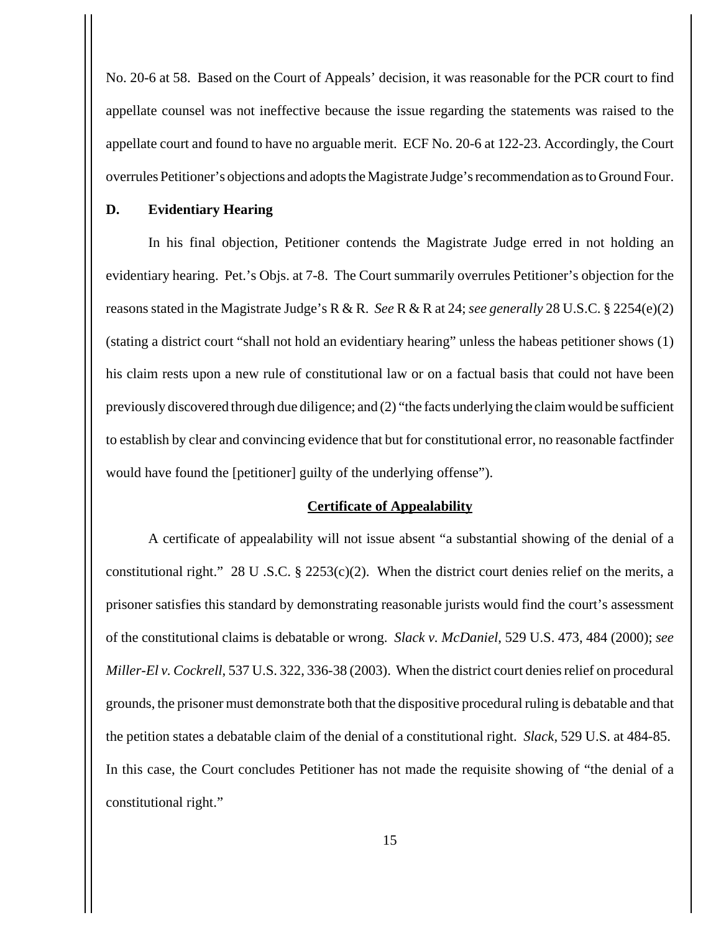No. 20-6 at 58. Based on the Court of Appeals' decision, it was reasonable for the PCR court to find appellate counsel was not ineffective because the issue regarding the statements was raised to the appellate court and found to have no arguable merit. ECF No. 20-6 at 122-23. Accordingly, the Court overrules Petitioner's objections and adopts the Magistrate Judge's recommendation as to Ground Four.

### **D. Evidentiary Hearing**

In his final objection, Petitioner contends the Magistrate Judge erred in not holding an evidentiary hearing. Pet.'s Objs. at 7-8. The Court summarily overrules Petitioner's objection for the reasons stated in the Magistrate Judge's R & R. *See* R & R at 24; *see generally* 28 U.S.C. § 2254(e)(2) (stating a district court "shall not hold an evidentiary hearing" unless the habeas petitioner shows (1) his claim rests upon a new rule of constitutional law or on a factual basis that could not have been previously discovered through due diligence; and (2) "the facts underlying the claim would be sufficient to establish by clear and convincing evidence that but for constitutional error, no reasonable factfinder would have found the [petitioner] guilty of the underlying offense").

#### **Certificate of Appealability**

A certificate of appealability will not issue absent "a substantial showing of the denial of a constitutional right." 28 U .S.C. § 2253(c)(2). When the district court denies relief on the merits, a prisoner satisfies this standard by demonstrating reasonable jurists would find the court's assessment of the constitutional claims is debatable or wrong. *Slack v. McDaniel*, 529 U.S. 473, 484 (2000); *see Miller-El v. Cockrell*, 537 U.S. 322, 336-38 (2003). When the district court denies relief on procedural grounds, the prisoner must demonstrate both that the dispositive procedural ruling is debatable and that the petition states a debatable claim of the denial of a constitutional right. *Slack*, 529 U.S. at 484-85. In this case, the Court concludes Petitioner has not made the requisite showing of "the denial of a constitutional right."